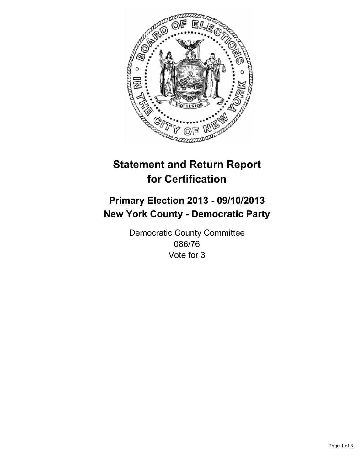

# **Statement and Return Report for Certification**

# **Primary Election 2013 - 09/10/2013 New York County - Democratic Party**

Democratic County Committee 086/76 Vote for 3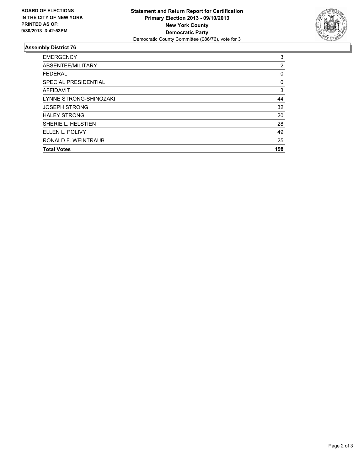

## **Assembly District 76**

| <b>EMERGENCY</b>       | 3   |
|------------------------|-----|
| ABSENTEE/MILITARY      | 2   |
| <b>FEDERAL</b>         | 0   |
| SPECIAL PRESIDENTIAL   | 0   |
| <b>AFFIDAVIT</b>       | 3   |
| LYNNE STRONG-SHINOZAKI | 44  |
| <b>JOSEPH STRONG</b>   | 32  |
| <b>HALEY STRONG</b>    | 20  |
| SHERIE L. HELSTIEN     | 28  |
| ELLEN L. POLIVY        | 49  |
| RONALD F. WEINTRAUB    | 25  |
| <b>Total Votes</b>     | 198 |